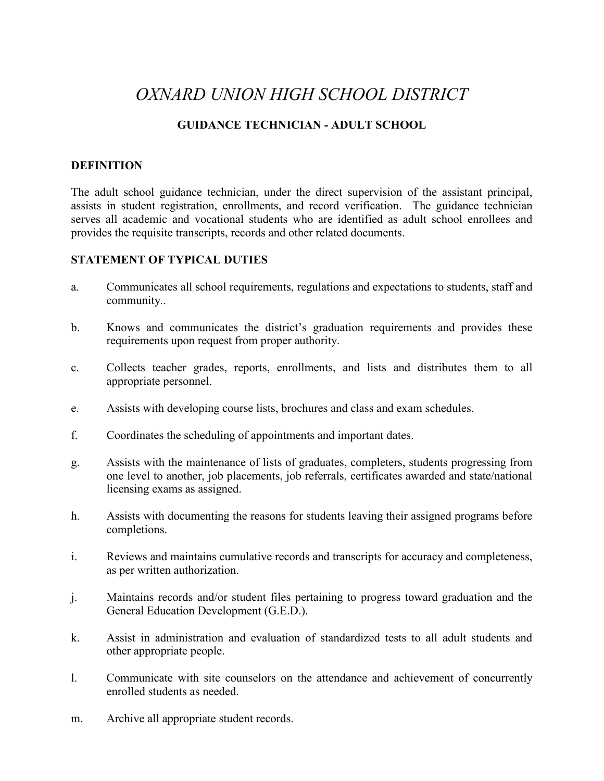# *OXNARD UNION HIGH SCHOOL DISTRICT*

## **GUIDANCE TECHNICIAN - ADULT SCHOOL**

## **DEFINITION**

The adult school guidance technician, under the direct supervision of the assistant principal, assists in student registration, enrollments, and record verification. The guidance technician serves all academic and vocational students who are identified as adult school enrollees and provides the requisite transcripts, records and other related documents.

## **STATEMENT OF TYPICAL DUTIES**

- a. Communicates all school requirements, regulations and expectations to students, staff and community..
- b. Knows and communicates the district's graduation requirements and provides these requirements upon request from proper authority.
- c. Collects teacher grades, reports, enrollments, and lists and distributes them to all appropriate personnel.
- e. Assists with developing course lists, brochures and class and exam schedules.
- f. Coordinates the scheduling of appointments and important dates.
- g. Assists with the maintenance of lists of graduates, completers, students progressing from one level to another, job placements, job referrals, certificates awarded and state/national licensing exams as assigned.
- h. Assists with documenting the reasons for students leaving their assigned programs before completions.
- i. Reviews and maintains cumulative records and transcripts for accuracy and completeness, as per written authorization.
- j. Maintains records and/or student files pertaining to progress toward graduation and the General Education Development (G.E.D.).
- k. Assist in administration and evaluation of standardized tests to all adult students and other appropriate people.
- l. Communicate with site counselors on the attendance and achievement of concurrently enrolled students as needed.
- m. Archive all appropriate student records.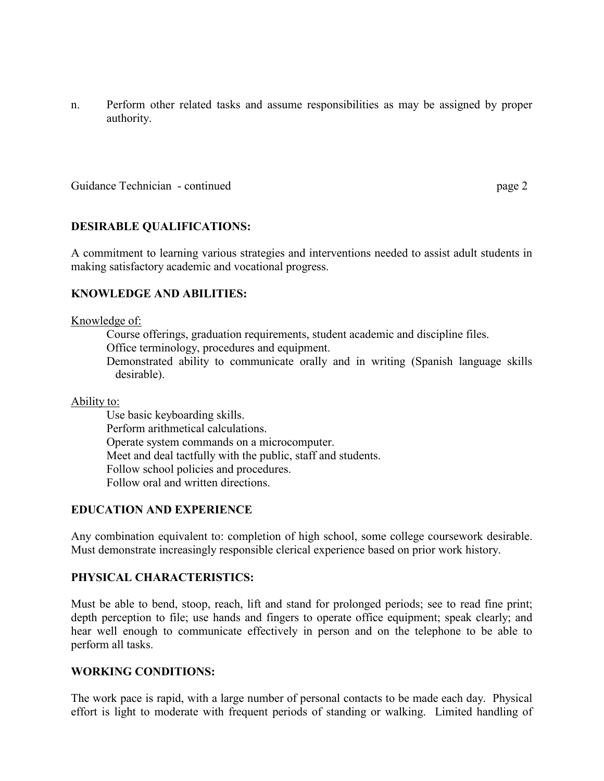n. Perform other related tasks and assume responsibilities as may be assigned by proper authority.

Guidance Technician - continued page 2

## **DESIRABLE QUALIFICATIONS:**

A commitment to learning various strategies and interventions needed to assist adult students in making satisfactory academic and vocational progress.

## **KNOWLEDGE AND ABILITIES:**

#### Knowledge of:

Course offerings, graduation requirements, student academic and discipline files. Office terminology, procedures and equipment.

Demonstrated ability to communicate orally and in writing (Spanish language skills desirable).

## Ability to:

Use basic keyboarding skills. Perform arithmetical calculations. Operate system commands on a microcomputer. Meet and deal tactfully with the public, staff and students. Follow school policies and procedures. Follow oral and written directions.

## **EDUCATION AND EXPERIENCE**

Any combination equivalent to: completion of high school, some college coursework desirable. Must demonstrate increasingly responsible clerical experience based on prior work history.

## **PHYSICAL CHARACTERISTICS:**

Must be able to bend, stoop, reach, lift and stand for prolonged periods; see to read fine print; depth perception to file; use hands and fingers to operate office equipment; speak clearly; and hear well enough to communicate effectively in person and on the telephone to be able to perform all tasks.

## **WORKING CONDITIONS:**

The work pace is rapid, with a large number of personal contacts to be made each day. Physical effort is light to moderate with frequent periods of standing or walking. Limited handling of